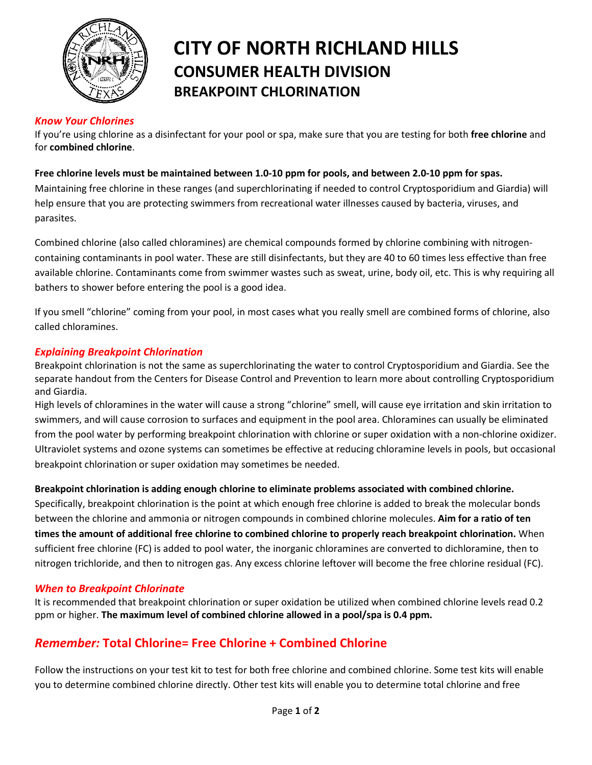

# **CITY OF NORTH RICHLAND HILLS CONSUMER HEALTH DIVISION BREAKPOINT CHLORINATION**

## *Know Your Chlorines*

If you're using chlorine as a disinfectant for your pool or spa, make sure that you are testing for both **free chlorine** and for **combined chlorine**.

#### **Free chlorine levels must be maintained between 1.0-10 ppm for pools, and between 2.0-10 ppm for spas.**

Maintaining free chlorine in these ranges (and superchlorinating if needed to control Cryptosporidium and Giardia) will help ensure that you are protecting swimmers from recreational water illnesses caused by bacteria, viruses, and parasites.

Combined chlorine (also called chloramines) are chemical compounds formed by chlorine combining with nitrogencontaining contaminants in pool water. These are still disinfectants, but they are 40 to 60 times less effective than free available chlorine. Contaminants come from swimmer wastes such as sweat, urine, body oil, etc. This is why requiring all bathers to shower before entering the pool is a good idea.

If you smell "chlorine" coming from your pool, in most cases what you really smell are combined forms of chlorine, also called chloramines.

## *Explaining Breakpoint Chlorination*

Breakpoint chlorination is not the same as superchlorinating the water to control Cryptosporidium and Giardia. See the separate handout from the Centers for Disease Control and Prevention to learn more about controlling Cryptosporidium and Giardia.

High levels of chloramines in the water will cause a strong "chlorine" smell, will cause eye irritation and skin irritation to swimmers, and will cause corrosion to surfaces and equipment in the pool area. Chloramines can usually be eliminated from the pool water by performing breakpoint chlorination with chlorine or super oxidation with a non-chlorine oxidizer. Ultraviolet systems and ozone systems can sometimes be effective at reducing chloramine levels in pools, but occasional breakpoint chlorination or super oxidation may sometimes be needed.

## **Breakpoint chlorination is adding enough chlorine to eliminate problems associated with combined chlorine.**

Specifically, breakpoint chlorination is the point at which enough free chlorine is added to break the molecular bonds between the chlorine and ammonia or nitrogen compounds in combined chlorine molecules. **Aim for a ratio of ten times the amount of additional free chlorine to combined chlorine to properly reach breakpoint chlorination.** When sufficient free chlorine (FC) is added to pool water, the inorganic chloramines are converted to dichloramine, then to nitrogen trichloride, and then to nitrogen gas. Any excess chlorine leftover will become the free chlorine residual (FC).

#### *When to Breakpoint Chlorinate*

It is recommended that breakpoint chlorination or super oxidation be utilized when combined chlorine levels read 0.2 ppm or higher. **The maximum level of combined chlorine allowed in a pool/spa is 0.4 ppm.** 

## *Remember:* **Total Chlorine= Free Chlorine + Combined Chlorine**

Follow the instructions on your test kit to test for both free chlorine and combined chlorine. Some test kits will enable you to determine combined chlorine directly. Other test kits will enable you to determine total chlorine and free